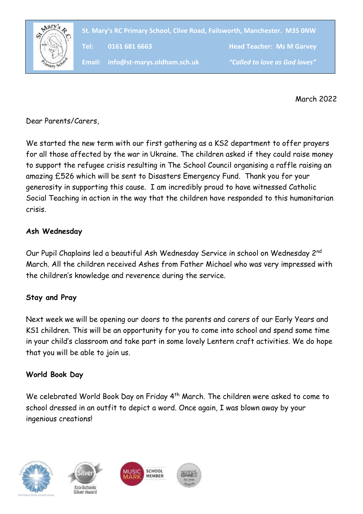

**St. Mary's RC Primary School, Clive Road, Failsworth, Manchester. M35 0NW**

**Tel: 0161 681 6663 Head Teacher: Ms M Garvey**

**Email: info@st-marys.oldham.sch.uk** *"Called to love as God loves"*

March 2022

Dear Parents/Carers,

We started the new term with our first gathering as a KS2 department to offer prayers for all those affected by the war in Ukraine. The children asked if they could raise money to support the refugee crisis resulting in The School Council organising a raffle raising an amazing £526 which will be sent to Disasters Emergency Fund. Thank you for your generosity in supporting this cause. I am incredibly proud to have witnessed Catholic Social Teaching in action in the way that the children have responded to this humanitarian crisis.

### **Ash Wednesday**

Our Pupil Chaplains led a beautiful Ash Wednesday Service in school on Wednesday 2nd March. All the children received Ashes from Father Michael who was very impressed with the children's knowledge and reverence during the service.

## **Stay and Pray**

Next week we will be opening our doors to the parents and carers of our Early Years and KS1 children. This will be an opportunity for you to come into school and spend some time in your child's classroom and take part in some lovely Lentern craft activities. We do hope that you will be able to join us.

#### **World Book Day**

We celebrated World Book Day on Friday 4<sup>th</sup> March. The children were asked to come to school dressed in an outfit to depict a word. Once again, I was blown away by your ingenious creations!